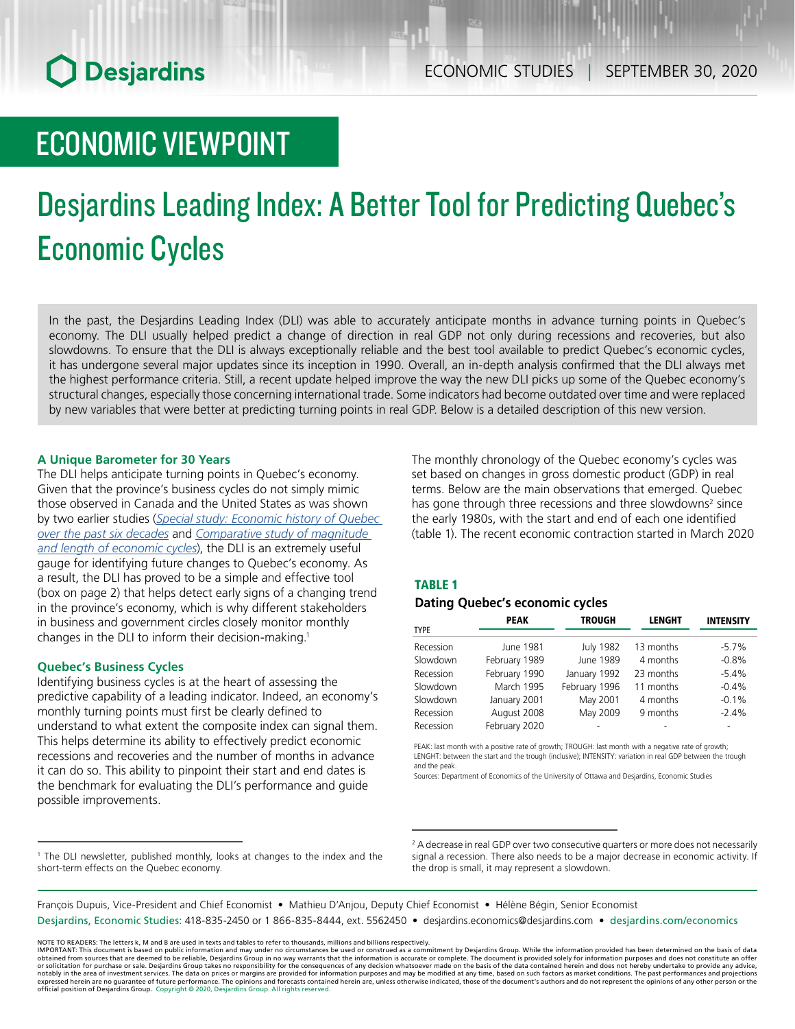## **O** Desjardins

### ECONOMIC VIEWPOINT

# Desjardins Leading Index: A Better Tool for Predicting Quebec's Economic Cycles

In the past, the Desjardins Leading Index (DLI) was able to accurately anticipate months in advance turning points in Quebec's economy. The DLI usually helped predict a change of direction in real GDP not only during recessions and recoveries, but also slowdowns. To ensure that the DLI is always exceptionally reliable and the best tool available to predict Quebec's economic cycles, it has undergone several major updates since its inception in 1990. Overall, an in-depth analysis confirmed that the DLI always met the highest performance criteria. Still, a recent update helped improve the way the new DLI picks up some of the Quebec economy's structural changes, especially those concerning international trade. Some indicators had become outdated over time and were replaced by new variables that were better at predicting turning points in real GDP. Below is a detailed description of this new version.

#### **A Unique Barometer for 30 Years**

The DLI helps anticipate turning points in Quebec's economy. Given that the province's business cycles do not simply mimic those observed in Canada and the United States as was shown by two earlier studies (*[Special study: Economic history of Quebec](https://www.desjardins.com/ressources/pdf/pv1411e.pdf?resVer=1416925943000)  [over the past six decades](https://www.desjardins.com/ressources/pdf/pv1411e.pdf?resVer=1416925943000)* and *[Comparative study of magnitude](https://www.desjardins.com/ressources/pdf/pv150922e.pdf?resVer=1442927284000)  [and length of economic cycles](https://www.desjardins.com/ressources/pdf/pv150922e.pdf?resVer=1442927284000)*), the DLI is an extremely useful gauge for identifying future changes to Quebec's economy. As a result, the DLI has proved to be a simple and effective tool (box on page 2) that helps detect early signs of a changing trend in the province's economy, which is why different stakeholders in business and government circles closely monitor monthly changes in the DLI to inform their decision-making.1

#### **Quebec's Business Cycles**

Identifying business cycles is at the heart of assessing the predictive capability of a leading indicator. Indeed, an economy's monthly turning points must first be clearly defined to understand to what extent the composite index can signal them. This helps determine its ability to effectively predict economic recessions and recoveries and the number of months in advance it can do so. This ability to pinpoint their start and end dates is the benchmark for evaluating the DLI's performance and guide possible improvements.

The monthly chronology of the Quebec economy's cycles was set based on changes in gross domestic product (GDP) in real terms. Below are the main observations that emerged. Quebec has gone through three recessions and three slowdowns<sup>2</sup> since the early 1980s, with the start and end of each one identified (table 1). The recent economic contraction started in March 2020

#### TABLE 1

#### *Dating Quebec's economic cycles*

|             | <b>PEAK</b>   | <b>TROUGH</b>    | <b>LENGHT</b> | <b>INTENSITY</b> |
|-------------|---------------|------------------|---------------|------------------|
| <b>TYPE</b> |               |                  |               |                  |
| Recession   | June 1981     | <b>July 1982</b> | 13 months     | $-5.7%$          |
| Slowdown    | February 1989 | June 1989        | 4 months      | $-0.8%$          |
| Recession   | February 1990 | January 1992     | 23 months     | $-5.4%$          |
| Slowdown    | March 1995    | February 1996    | 11 months     | $-0.4%$          |
| Slowdown    | January 2001  | May 2001         | 4 months      | $-0.1%$          |
| Recession   | August 2008   | May 2009         | 9 months      | $-2.4%$          |
| Recession   | February 2020 |                  |               |                  |

PEAK: last month with a positive rate of growth; TROUGH: last month with a negative rate of growth; LENGHT: between the start and the trough (inclusive); INTENSITY: variation in real GDP between the trough and the peak.

Sources: Department of Economics of the University of Ottawa and Desjardins, Economic Studies

2 A decrease in real GDP over two consecutive quarters or more does not necessarily signal a recession. There also needs to be a major decrease in economic activity. If the drop is small, it may represent a slowdown.

François Dupuis, Vice-President and Chief Economist • Mathieu D'Anjou, Deputy Chief Economist • Hélène Bégin, Senior Economist Desjardins, Economic Studies: 418-835-2450 or 1 866-835-8444, ext. 5562450 • desjardins.economics@desjardins.com • desjardins.com/economics

NOTE TO READERS: The letters k, M and B are used in texts and tables to refer to thousands, millions and billions respectively.<br>IMPORTANT: This document is based on public information and may under no circumstances be used obtained from sources that are deemed to be reliable, Desjardins Group in no way warrants that the information is accurate or complete. The document is provided solely for information purposes and does not constitute an of expressed herein are no guarantee of future performance. The opinions and forecasts contained herein are, unless otherwise indicated, those of the document's authors and do not represent the opinions of any other person or official position of Desjardins Group. Copyright © 2020, Desjardins Group. All rights reserved.

<sup>&</sup>lt;sup>1</sup> The DLI newsletter, published monthly, looks at changes to the index and the short-term effects on the Quebec economy.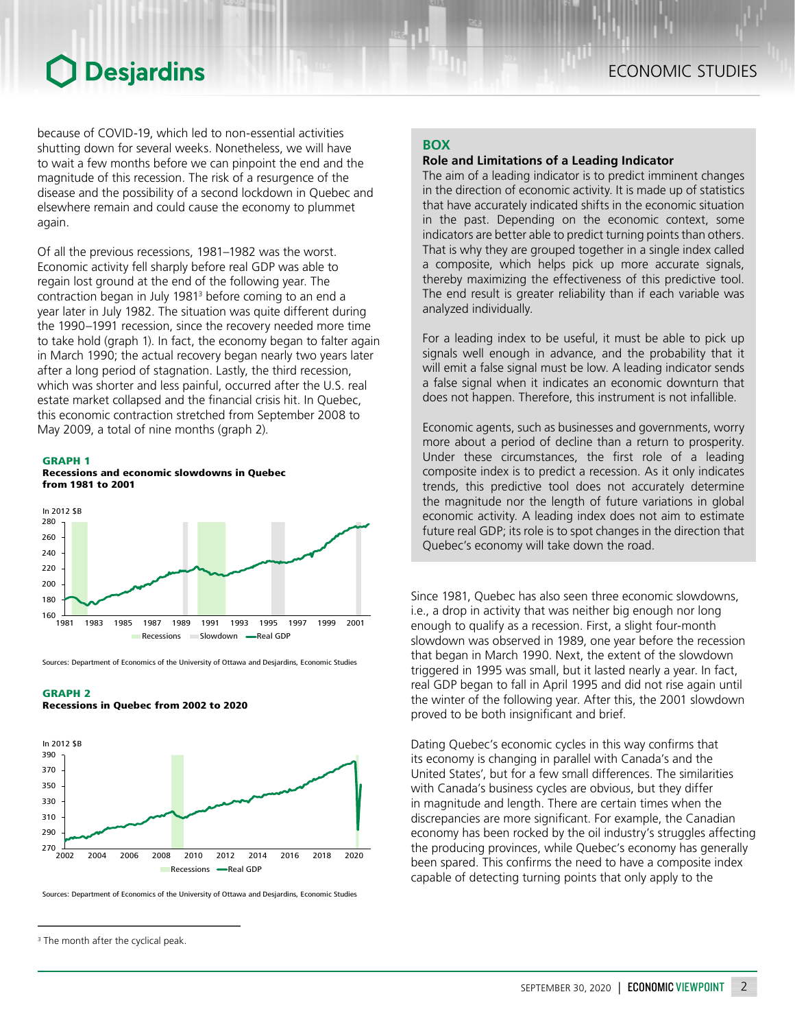### ECONOMIC STUDIES

### **O** Desjardins

because of COVID-19, which led to non-essential activities shutting down for several weeks. Nonetheless, we will have to wait a few months before we can pinpoint the end and the magnitude of this recession. The risk of a resurgence of the disease and the possibility of a second lockdown in Quebec and elsewhere remain and could cause the economy to plummet again.

Of all the previous recessions, 1981–1982 was the worst. Economic activity fell sharply before real GDP was able to regain lost ground at the end of the following year. The contraction began in July 19813 before coming to an end a year later in July 1982. The situation was quite different during the 1990–1991 recession, since the recovery needed more time to take hold (graph 1). In fact, the economy began to falter again in March 1990; the actual recovery began nearly two years later after a long period of stagnation. Lastly, the third recession, which was shorter and less painful, occurred after the U.S. real estate market collapsed and the financial crisis hit. In Quebec, this economic contraction stretched from September 2008 to May 2009, a total of nine months (graph 2).



Recessions and economic slowdowns in Quebec from 1981 to 2001



Sources: Department of Economics of the University of Ottawa and Desjardins, Economic Studies

#### GRAPH 2

Recessions in Quebec from 2002 to 2020



Sources: Department of Economics of the University of Ottawa and Desjardins, Economic Studies

#### **BOX**

#### **Role and Limitations of a Leading Indicator**

The aim of a leading indicator is to predict imminent changes in the direction of economic activity. It is made up of statistics that have accurately indicated shifts in the economic situation in the past. Depending on the economic context, some indicators are better able to predict turning points than others. That is why they are grouped together in a single index called a composite, which helps pick up more accurate signals, thereby maximizing the effectiveness of this predictive tool. The end result is greater reliability than if each variable was analyzed individually.

For a leading index to be useful, it must be able to pick up signals well enough in advance, and the probability that it will emit a false signal must be low. A leading indicator sends a false signal when it indicates an economic downturn that does not happen. Therefore, this instrument is not infallible.

Economic agents, such as businesses and governments, worry more about a period of decline than a return to prosperity. Under these circumstances, the first role of a leading composite index is to predict a recession. As it only indicates trends, this predictive tool does not accurately determine the magnitude nor the length of future variations in global economic activity. A leading index does not aim to estimate future real GDP; its role is to spot changes in the direction that Quebec's economy will take down the road.

Since 1981, Quebec has also seen three economic slowdowns, i.e., a drop in activity that was neither big enough nor long enough to qualify as a recession. First, a slight four-month slowdown was observed in 1989, one year before the recession that began in March 1990. Next, the extent of the slowdown triggered in 1995 was small, but it lasted nearly a year. In fact, real GDP began to fall in April 1995 and did not rise again until the winter of the following year. After this, the 2001 slowdown proved to be both insignificant and brief.

Dating Quebec's economic cycles in this way confirms that its economy is changing in parallel with Canada's and the United States', but for a few small differences. The similarities with Canada's business cycles are obvious, but they differ in magnitude and length. There are certain times when the discrepancies are more significant. For example, the Canadian economy has been rocked by the oil industry's struggles affecting the producing provinces, while Quebec's economy has generally been spared. This confirms the need to have a composite index capable of detecting turning points that only apply to the

<sup>&</sup>lt;sup>3</sup> The month after the cyclical peak.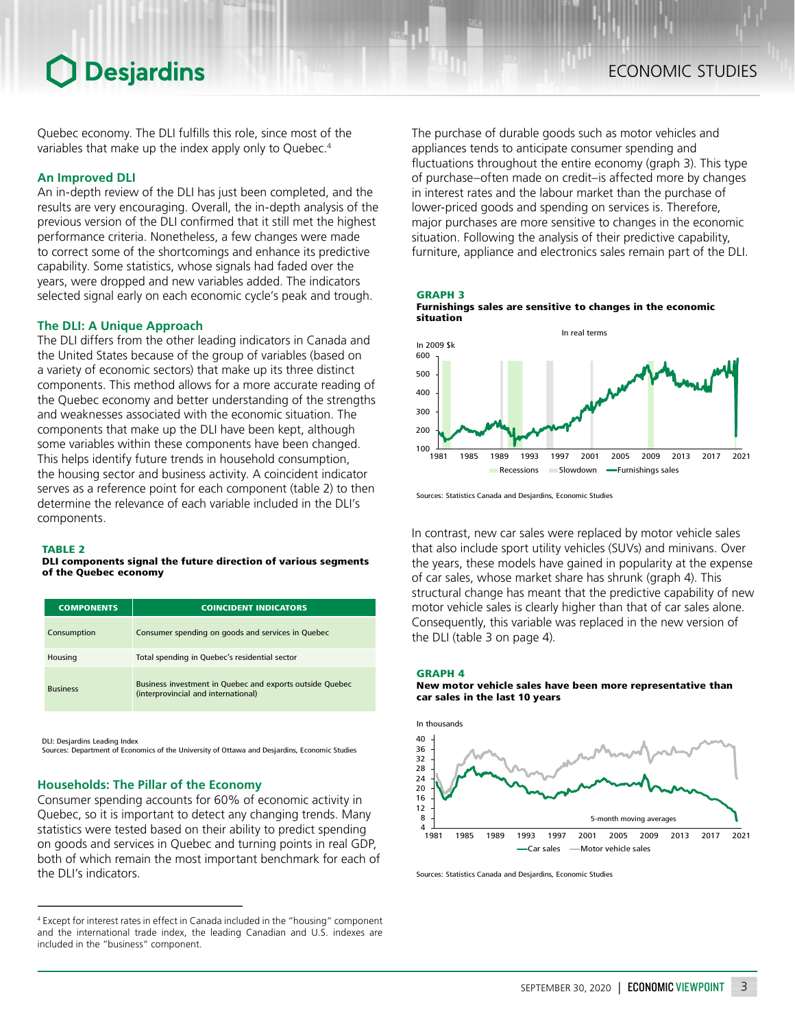### **Desjardins**

Quebec economy. The DLI fulfills this role, since most of the variables that make up the index apply only to Quebec.<sup>4</sup>

#### **An Improved DLI**

An in-depth review of the DLI has just been completed, and the results are very encouraging. Overall, the in-depth analysis of the previous version of the DLI confirmed that it still met the highest performance criteria. Nonetheless, a few changes were made to correct some of the shortcomings and enhance its predictive capability. Some statistics, whose signals had faded over the years, were dropped and new variables added. The indicators selected signal early on each economic cycle's peak and trough.

#### **The DLI: A Unique Approach**

The DLI differs from the other leading indicators in Canada and the United States because of the group of variables (based on a variety of economic sectors) that make up its three distinct components. This method allows for a more accurate reading of the Quebec economy and better understanding of the strengths and weaknesses associated with the economic situation. The components that make up the DLI have been kept, although some variables within these components have been changed. This helps identify future trends in household consumption, the housing sector and business activity. A coincident indicator serves as a reference point for each component (table 2) to then determine the relevance of each variable included in the DLI's components.

#### TARI F<sub>2</sub>

#### DLI components signal the future direction of various segments of the Quebec economy

| <b>COMPONENTS</b> | <b>COINCIDENT INDICATORS</b>                                                                    |
|-------------------|-------------------------------------------------------------------------------------------------|
| Consumption       | Consumer spending on goods and services in Quebec                                               |
| Housing           | Total spending in Quebec's residential sector                                                   |
| <b>Business</b>   | Business investment in Quebec and exports outside Quebec<br>(interprovincial and international) |

DLI: Desjardins Leading Index Sources: Department of Economics of the University of Ottawa and Desjardins, Economic Studies

#### **Households: The Pillar of the Economy**

Consumer spending accounts for 60% of economic activity in Quebec, so it is important to detect any changing trends. Many statistics were tested based on their ability to predict spending on goods and services in Quebec and turning points in real GDP, both of which remain the most important benchmark for each of the DLI's indicators.

The purchase of durable goods such as motor vehicles and appliances tends to anticipate consumer spending and fluctuations throughout the entire economy (graph 3). This type of purchase–often made on credit–is affected more by changes in interest rates and the labour market than the purchase of lower-priced goods and spending on services is. Therefore, major purchases are more sensitive to changes in the economic situation. Following the analysis of their predictive capability, furniture, appliance and electronics sales remain part of the DLI.







Sources: Statistics Canada and Desjardins, Economic Studies

In contrast, new car sales were replaced by motor vehicle sales that also include sport utility vehicles (SUVs) and minivans. Over the years, these models have gained in popularity at the expense of car sales, whose market share has shrunk (graph 4). This structural change has meant that the predictive capability of new motor vehicle sales is clearly higher than that of car sales alone. Consequently, this variable was replaced in the new version of the DLI (table 3 on page 4).

#### GRAPH 4

New motor vehicle sales have been more representative than car sales in the last 10 years



Sources: Statistics Canada and Desjardins, Economic Studies

<sup>4</sup> Except for interest rates in effect in Canada included in the "housing" component and the international trade index, the leading Canadian and U.S. indexes are included in the "business" component.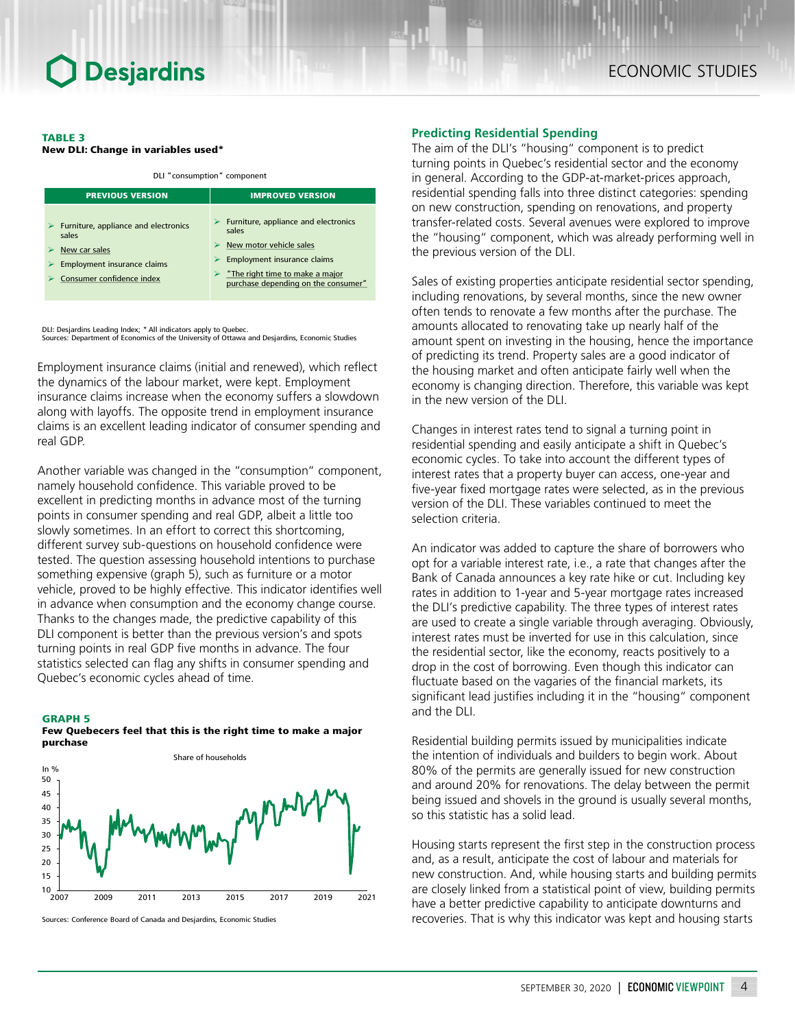#### TABLE 3

New DLI: Change in variables used\*

DLI "consumption" component

| <b>PREVIOUS VERSION</b>                                        | <b>IMPROVED VERSION</b>                                                       |  |
|----------------------------------------------------------------|-------------------------------------------------------------------------------|--|
| $\triangleright$ Furniture, appliance and electronics<br>sales | $\triangleright$ Furniture, appliance and electronics<br>sales                |  |
| New car sales                                                  | New motor vehicle sales                                                       |  |
| Employment insurance claims                                    | Employment insurance claims                                                   |  |
| Consumer confidence index                                      | $\geq$ "The right time to make a major<br>purchase depending on the consumer" |  |

DLI: Desjardins Leading Index; \* All indicators apply to Quebec. Sources: Department of Economics of the University of Ottawa and Desjardins, Economic Studies

Employment insurance claims (initial and renewed), which reflect the dynamics of the labour market, were kept. Employment insurance claims increase when the economy suffers a slowdown along with layoffs. The opposite trend in employment insurance claims is an excellent leading indicator of consumer spending and real GDP.

Another variable was changed in the "consumption" component, namely household confidence. This variable proved to be excellent in predicting months in advance most of the turning points in consumer spending and real GDP, albeit a little too slowly sometimes. In an effort to correct this shortcoming, different survey sub-questions on household confidence were tested. The question assessing household intentions to purchase something expensive (graph 5), such as furniture or a motor vehicle, proved to be highly effective. This indicator identifies well in advance when consumption and the economy change course. Thanks to the changes made, the predictive capability of this DLI component is better than the previous version's and spots turning points in real GDP five months in advance. The four statistics selected can flag any shifts in consumer spending and Quebec's economic cycles ahead of time.

#### GRAPH 5

Few Quebecers feel that this is the right time to make a major purchase



Sources: Conference Board of Canada and Desjardins, Economic Studies

#### **Predicting Residential Spending**

The aim of the DLI's "housing" component is to predict turning points in Quebec's residential sector and the economy in general. According to the GDP-at-market-prices approach, residential spending falls into three distinct categories: spending on new construction, spending on renovations, and property transfer-related costs. Several avenues were explored to improve the "housing" component, which was already performing well in the previous version of the DLI.

Sales of existing properties anticipate residential sector spending, including renovations, by several months, since the new owner often tends to renovate a few months after the purchase. The amounts allocated to renovating take up nearly half of the amount spent on investing in the housing, hence the importance of predicting its trend. Property sales are a good indicator of the housing market and often anticipate fairly well when the economy is changing direction. Therefore, this variable was kept in the new version of the DLI.

Changes in interest rates tend to signal a turning point in residential spending and easily anticipate a shift in Quebec's economic cycles. To take into account the different types of interest rates that a property buyer can access, one-year and five-year fixed mortgage rates were selected, as in the previous version of the DLI. These variables continued to meet the selection criteria.

An indicator was added to capture the share of borrowers who opt for a variable interest rate, i.e., a rate that changes after the Bank of Canada announces a key rate hike or cut. Including key rates in addition to 1-year and 5-year mortgage rates increased the DLI's predictive capability. The three types of interest rates are used to create a single variable through averaging. Obviously, interest rates must be inverted for use in this calculation, since the residential sector, like the economy, reacts positively to a drop in the cost of borrowing. Even though this indicator can fluctuate based on the vagaries of the financial markets, its significant lead justifies including it in the "housing" component and the DLI.

Residential building permits issued by municipalities indicate the intention of individuals and builders to begin work. About 80% of the permits are generally issued for new construction and around 20% for renovations. The delay between the permit being issued and shovels in the ground is usually several months, so this statistic has a solid lead.

Housing starts represent the first step in the construction process and, as a result, anticipate the cost of labour and materials for new construction. And, while housing starts and building permits are closely linked from a statistical point of view, building permits have a better predictive capability to anticipate downturns and recoveries. That is why this indicator was kept and housing starts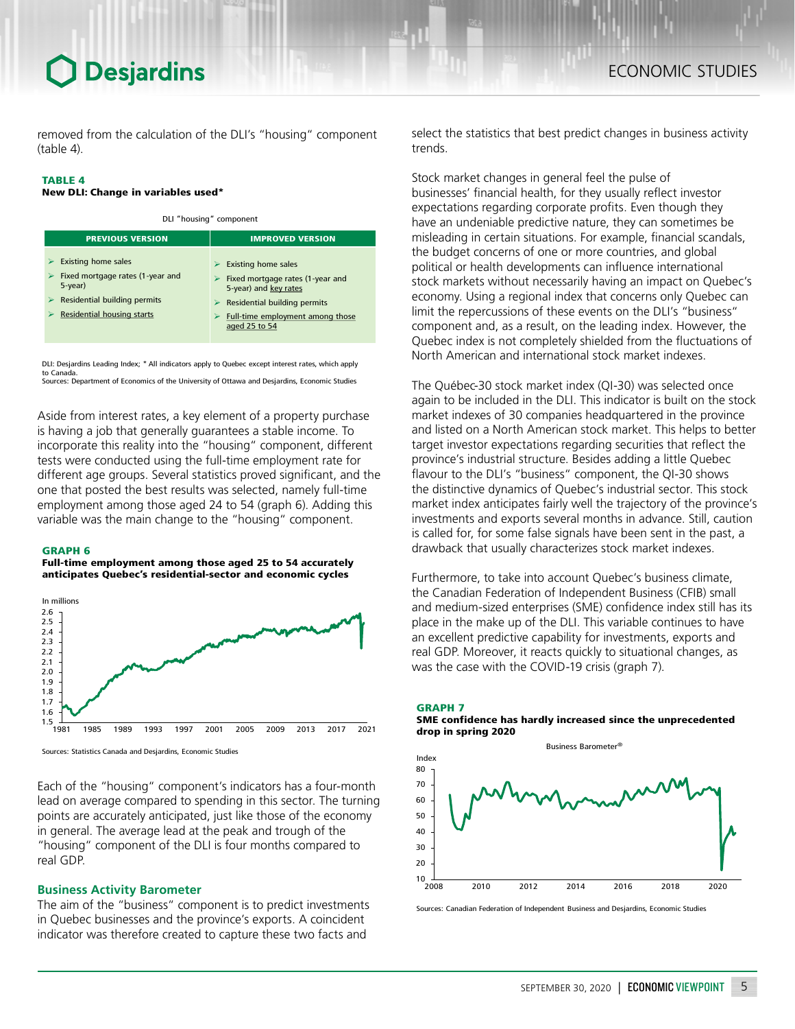### **Desjardins**

removed from the calculation of the DLI's "housing" component (table 4).

#### TABLE 4

#### New DLI: Change in variables used\*

DLI "housing" component

| <b>PREVIOUS VERSION</b>                                                      | <b>IMPROVED VERSION</b>                                                                                       |  |
|------------------------------------------------------------------------------|---------------------------------------------------------------------------------------------------------------|--|
| <b>Existing home sales</b><br>Fixed mortgage rates (1-year and<br>$5$ -year) | <b>Existing home sales</b><br>⋗<br>$\triangleright$ Fixed mortgage rates (1-year and<br>5-year) and key rates |  |
| Residential building permits<br>Residential housing starts                   | Residential building permits<br><b>Full-time employment among those</b><br>aged 25 to 54                      |  |

DLI: Desjardins Leading Index; \* All indicators apply to Quebec except interest rates, which apply to Canada. Sources: Department of Economics of the University of Ottawa and Desjardins, Economic Studies

Aside from interest rates, a key element of a property purchase is having a job that generally guarantees a stable income. To incorporate this reality into the "housing" component, different tests were conducted using the full-time employment rate for different age groups. Several statistics proved significant, and the one that posted the best results was selected, namely full-time employment among those aged 24 to 54 (graph 6). Adding this variable was the main change to the "housing" component.

#### GRAPH 6

Full-time employment among those aged 25 to 54 accurately anticipates Quebec's residential-sector and economic cycles



Sources: Statistics Canada and Desjardins, Economic Studies

Each of the "housing" component's indicators has a four-month lead on average compared to spending in this sector. The turning points are accurately anticipated, just like those of the economy in general. The average lead at the peak and trough of the "housing" component of the DLI is four months compared to real GDP.

#### **Business Activity Barometer**

The aim of the "business" component is to predict investments in Quebec businesses and the province's exports. A coincident indicator was therefore created to capture these two facts and

select the statistics that best predict changes in business activity trends.

Stock market changes in general feel the pulse of businesses' financial health, for they usually reflect investor expectations regarding corporate profits. Even though they have an undeniable predictive nature, they can sometimes be misleading in certain situations. For example, financial scandals, the budget concerns of one or more countries, and global political or health developments can influence international stock markets without necessarily having an impact on Quebec's economy. Using a regional index that concerns only Quebec can limit the repercussions of these events on the DLI's "business" component and, as a result, on the leading index. However, the Quebec index is not completely shielded from the fluctuations of North American and international stock market indexes.

The Québec-30 stock market index (QI-30) was selected once again to be included in the DLI. This indicator is built on the stock market indexes of 30 companies headquartered in the province and listed on a North American stock market. This helps to better target investor expectations regarding securities that reflect the province's industrial structure. Besides adding a little Quebec flavour to the DLI's "business" component, the QI-30 shows the distinctive dynamics of Quebec's industrial sector. This stock market index anticipates fairly well the trajectory of the province's investments and exports several months in advance. Still, caution is called for, for some false signals have been sent in the past, a drawback that usually characterizes stock market indexes.

Furthermore, to take into account Quebec's business climate, the Canadian Federation of Independent Business (CFIB) small and medium-sized enterprises (SME) confidence index still has its place in the make up of the DLI. This variable continues to have an excellent predictive capability for investments, exports and real GDP. Moreover, it reacts quickly to situational changes, as was the case with the COVID-19 crisis (graph 7).



Sources: Canadian Federation of Independent Business and Desjardins, Economic Studies

2008 2010 2012 2014 2016 2018 2020

 $10\frac{1}{2008}$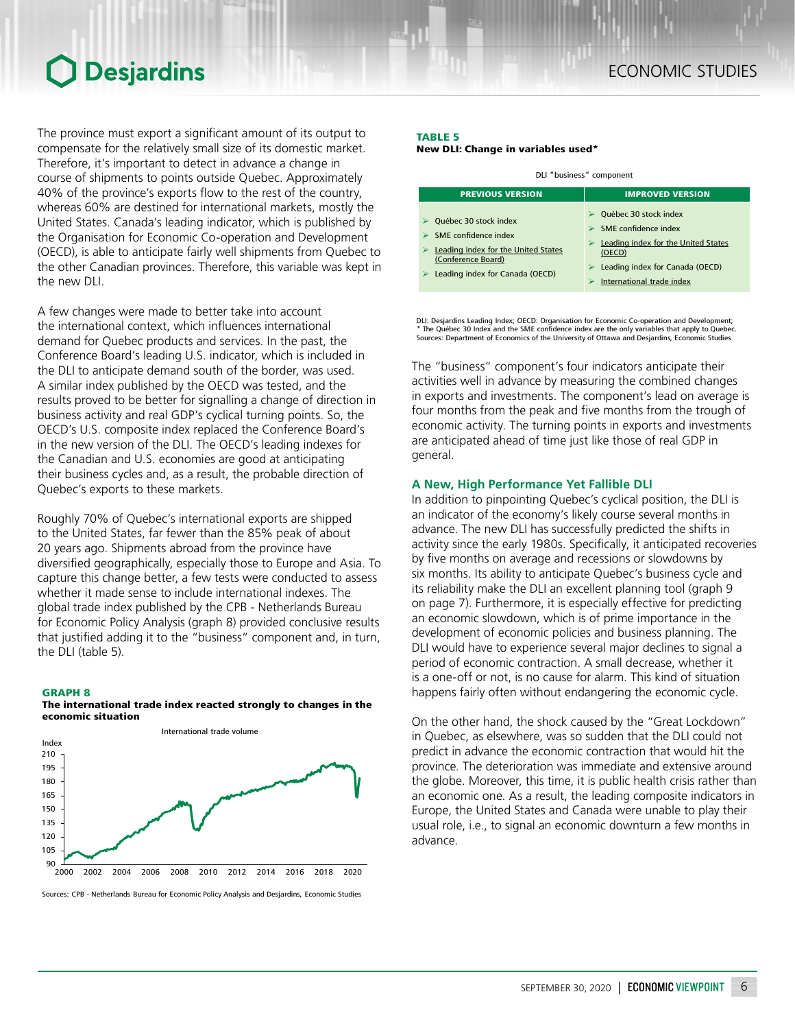### **Desjardins**

The province must export a significant amount of its output to compensate for the relatively small size of its domestic market. Therefore, it's important to detect in advance a change in course of shipments to points outside Quebec. Approximately 40% of the province's exports flow to the rest of the country, whereas 60% are destined for international markets, mostly the United States. Canada's leading indicator, which is published by the Organisation for Economic Co-operation and Development (OECD), is able to anticipate fairly well shipments from Quebec to the other Canadian provinces. Therefore, this variable was kept in the new DLI.

A few changes were made to better take into account the international context, which influences international demand for Quebec products and services. In the past, the Conference Board's leading U.S. indicator, which is included in the DLI to anticipate demand south of the border, was used. A similar index published by the OECD was tested, and the results proved to be better for signalling a change of direction in business activity and real GDP's cyclical turning points. So, the OECD's U.S. composite index replaced the Conference Board's in the new version of the DLI. The OECD's leading indexes for the Canadian and U.S. economies are good at anticipating their business cycles and, as a result, the probable direction of Quebec's exports to these markets.

Roughly 70% of Quebec's international exports are shipped to the United States, far fewer than the 85% peak of about 20 years ago. Shipments abroad from the province have diversified geographically, especially those to Europe and Asia. To capture this change better, a few tests were conducted to assess whether it made sense to include international indexes. The global trade index published by the CPB - Netherlands Bureau for Economic Policy Analysis (graph 8) provided conclusive results that justified adding it to the "business" component and, in turn, the DLI (table 5).

#### GRAPH 8





Sources: CPB - Netherlands Bureau for Economic Policy Analysis and Desjardins, Economic Studies

#### TABLE 5 New DLI: Change in variables used\*

| DLI "business" component                                                                                                                                              |                                                                                                                                                                                        |  |  |  |
|-----------------------------------------------------------------------------------------------------------------------------------------------------------------------|----------------------------------------------------------------------------------------------------------------------------------------------------------------------------------------|--|--|--|
| <b>PREVIOUS VERSION</b>                                                                                                                                               | <b>IMPROVED VERSION</b>                                                                                                                                                                |  |  |  |
| Québec 30 stock index<br><b>SME</b> confidence index<br>Leading index for the United States<br>(Conference Board)<br>$\triangleright$ Leading index for Canada (OECD) | Québec 30 stock index<br><b>SME</b> confidence index<br>Leading index for the United States<br>(OECD)<br>$\triangleright$ Leading index for Canada (OECD)<br>International trade index |  |  |  |

DLI: Desjardins Leading Index; OECD: Organisation for Economic Co-operation and Development; \* The Québec 30 Index and the SME confidence index are the only variables that apply to Quebec. Sources: Department of Economics of the University of Ottawa and Desjardins, Economic Studies

The "business" component's four indicators anticipate their activities well in advance by measuring the combined changes in exports and investments. The component's lead on average is four months from the peak and five months from the trough of economic activity. The turning points in exports and investments are anticipated ahead of time just like those of real GDP in general.

#### **A New, High Performance Yet Fallible DLI**

In addition to pinpointing Quebec's cyclical position, the DLI is an indicator of the economy's likely course several months in advance. The new DLI has successfully predicted the shifts in activity since the early 1980s. Specifically, it anticipated recoveries by five months on average and recessions or slowdowns by six months. Its ability to anticipate Quebec's business cycle and its reliability make the DLI an excellent planning tool (graph 9 on page 7). Furthermore, it is especially effective for predicting an economic slowdown, which is of prime importance in the development of economic policies and business planning. The DLI would have to experience several major declines to signal a period of economic contraction. A small decrease, whether it is a one-off or not, is no cause for alarm. This kind of situation happens fairly often without endangering the economic cycle.

On the other hand, the shock caused by the "Great Lockdown" in Quebec, as elsewhere, was so sudden that the DLI could not predict in advance the economic contraction that would hit the province. The deterioration was immediate and extensive around the globe. Moreover, this time, it is public health crisis rather than an economic one. As a result, the leading composite indicators in Europe, the United States and Canada were unable to play their usual role, i.e., to signal an economic downturn a few months in advance.